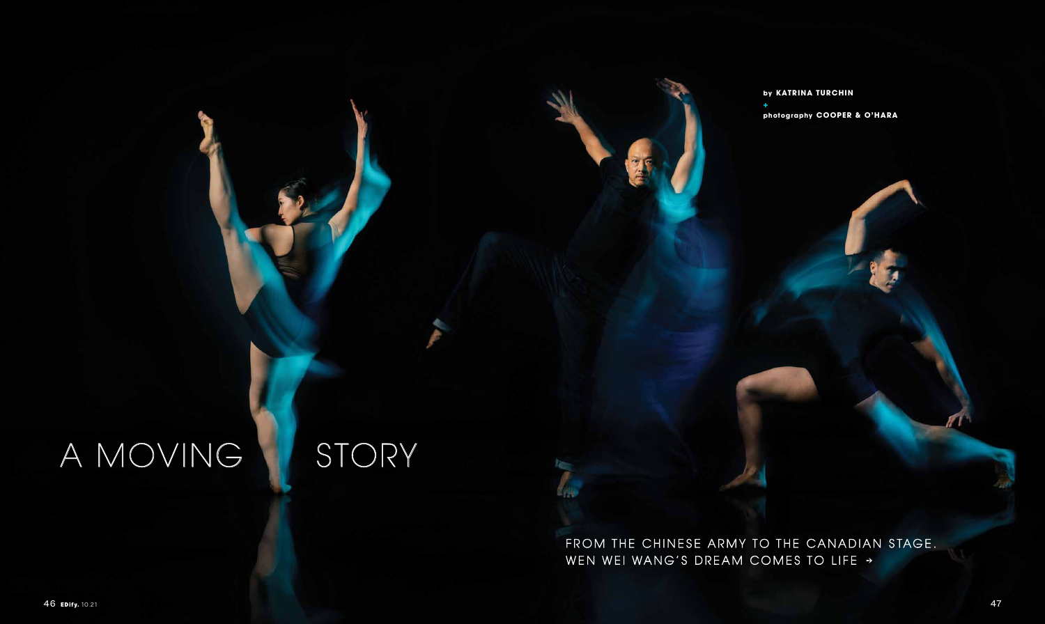## A MOVING STORY

FROM THE CHINESE ARMY TO THE CANADIAN STAGE. WEN WEI WANG'S DREAM COMES TO LIFE **→**

## **by KATRINA TURCHIN**

**+**

**photography COOPER & O'HARA**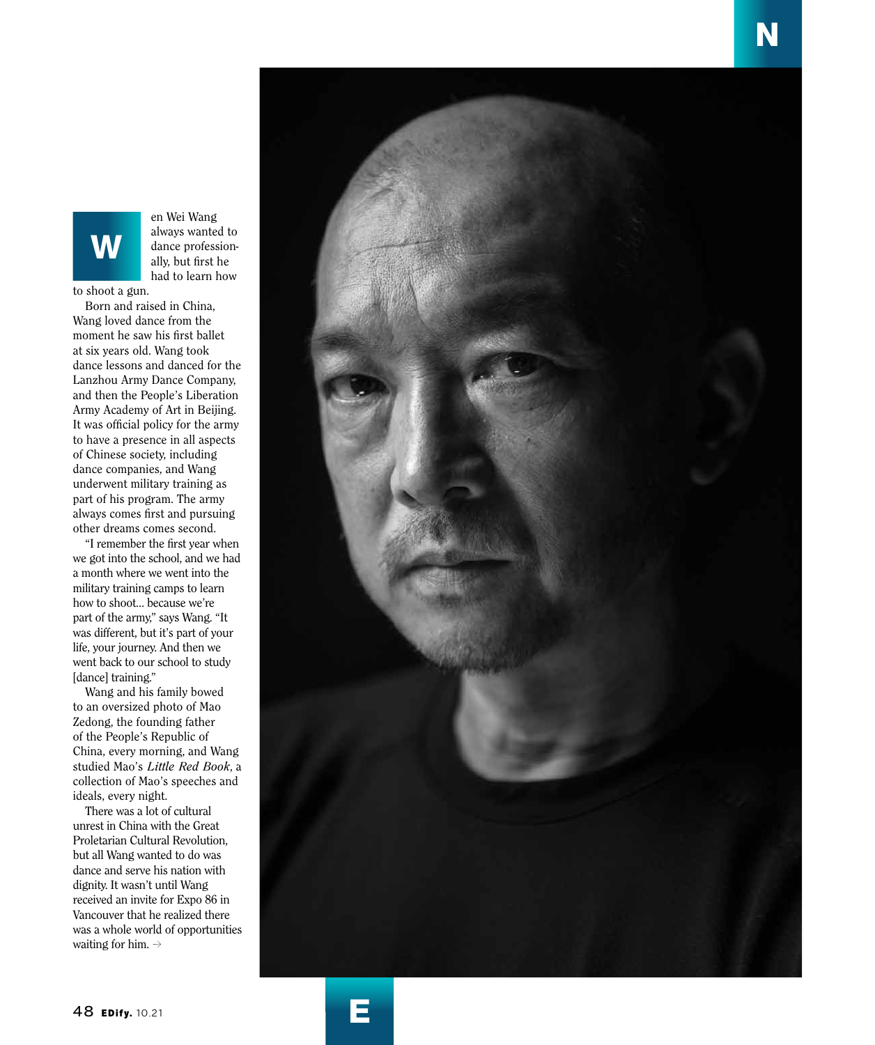en Wei Wang always wanted to dance professionally, but first he had to learn how

to shoot a gun.

Born and raised in China, Wang loved dance from the moment he saw his first ballet at six years old. Wang took dance lessons and danced for the Lanzhou Army Dance Company, and then the People's Liberation Army Academy of Art in Beijing. It was official policy for the army to have a presence in all aspects of Chinese society, including dance companies, and Wang underwent military training as part of his program. The army always comes first and pursuing other dreams comes second.

"I remember the first year when we got into the school, and we had a month where we went into the military training camps to learn how to shoot… because we're part of the army," says Wang. "It was different, but it's part of your life, your journey. And then we went back to our school to study [dance] training."

Wang and his family bowed to an oversized photo of Mao Zedong, the founding father of the People's Republic of China, every morning, and Wang studied Mao's *Little Red Book*, a collection of Mao's speeches and ideals, every night.

There was a lot of cultural unrest in China with the Great Proletarian Cultural Revolution, but all Wang wanted to do was dance and serve his nation with dignity. It wasn't until Wang received an invite for Expo 86 in Vancouver that he realized there was a whole world of opportunities waiting for him.  $\rightarrow$ 

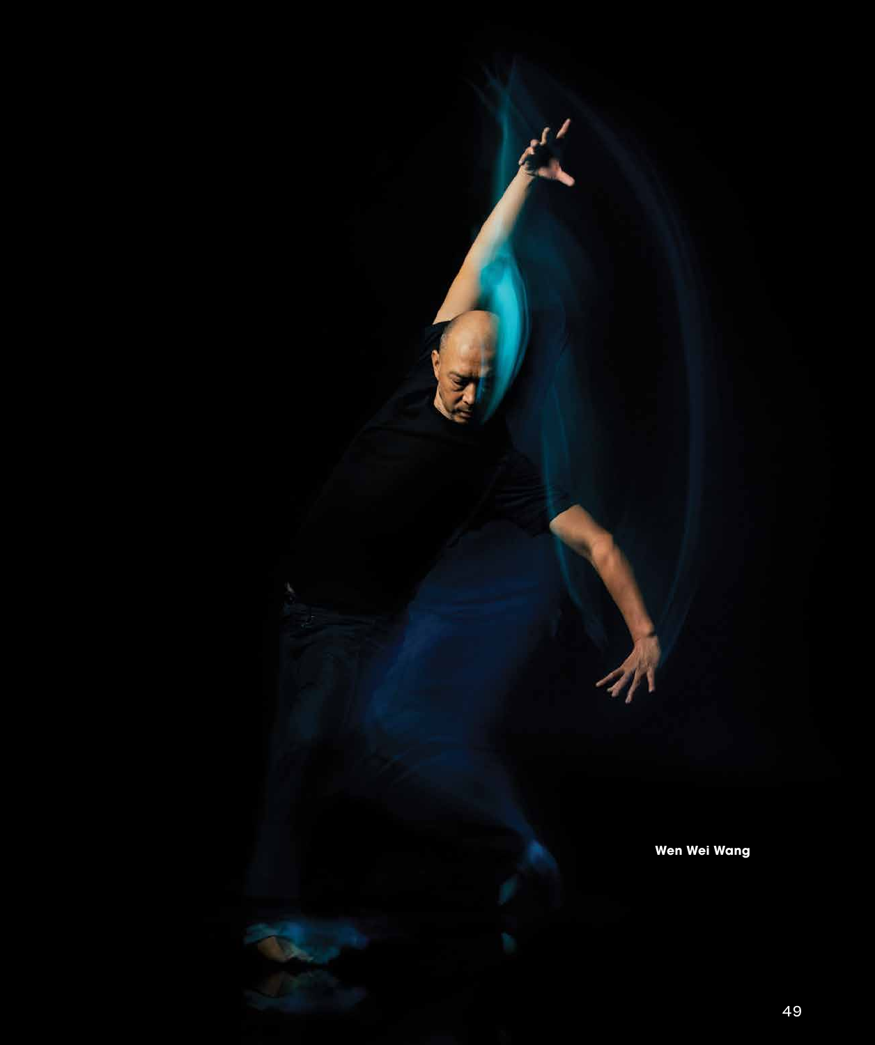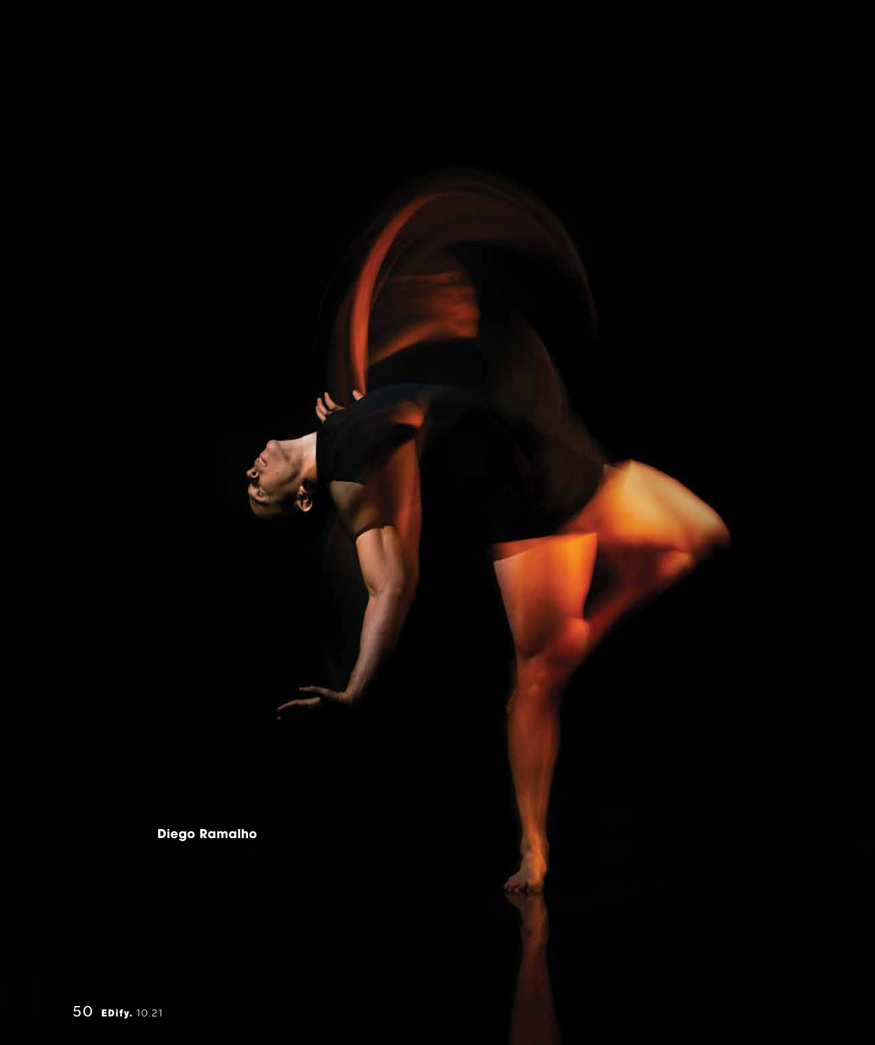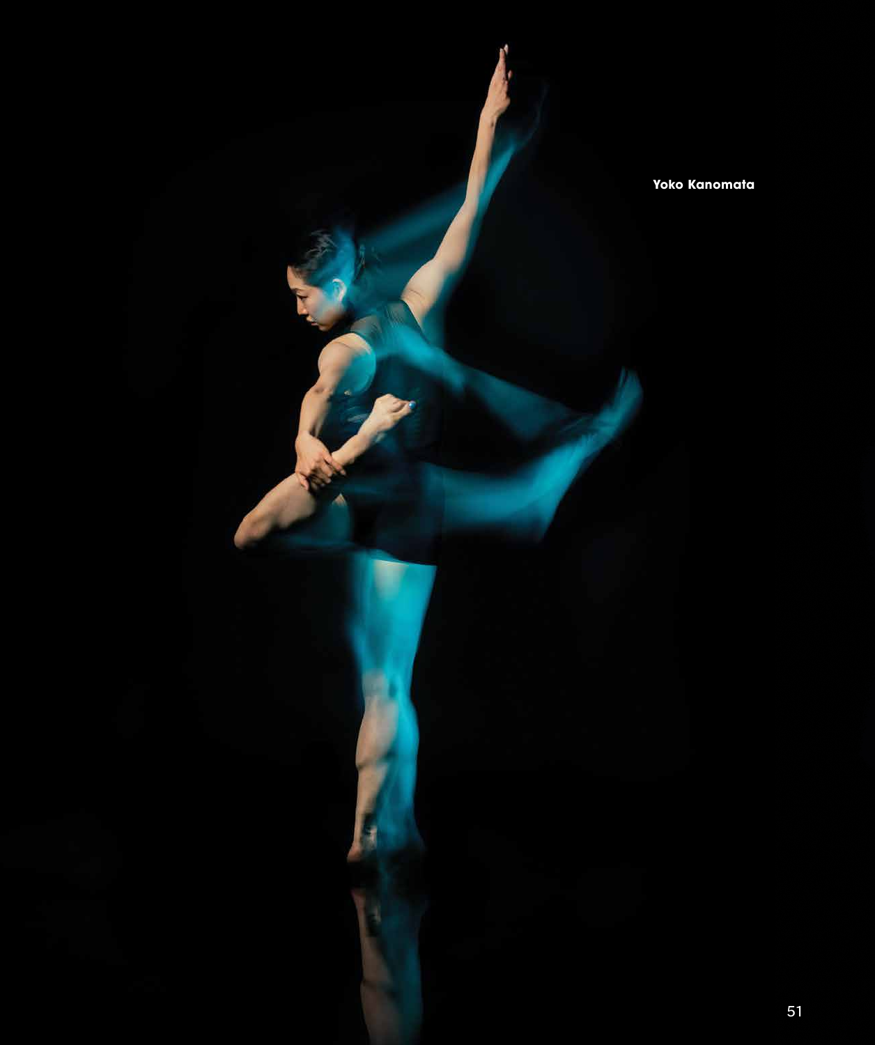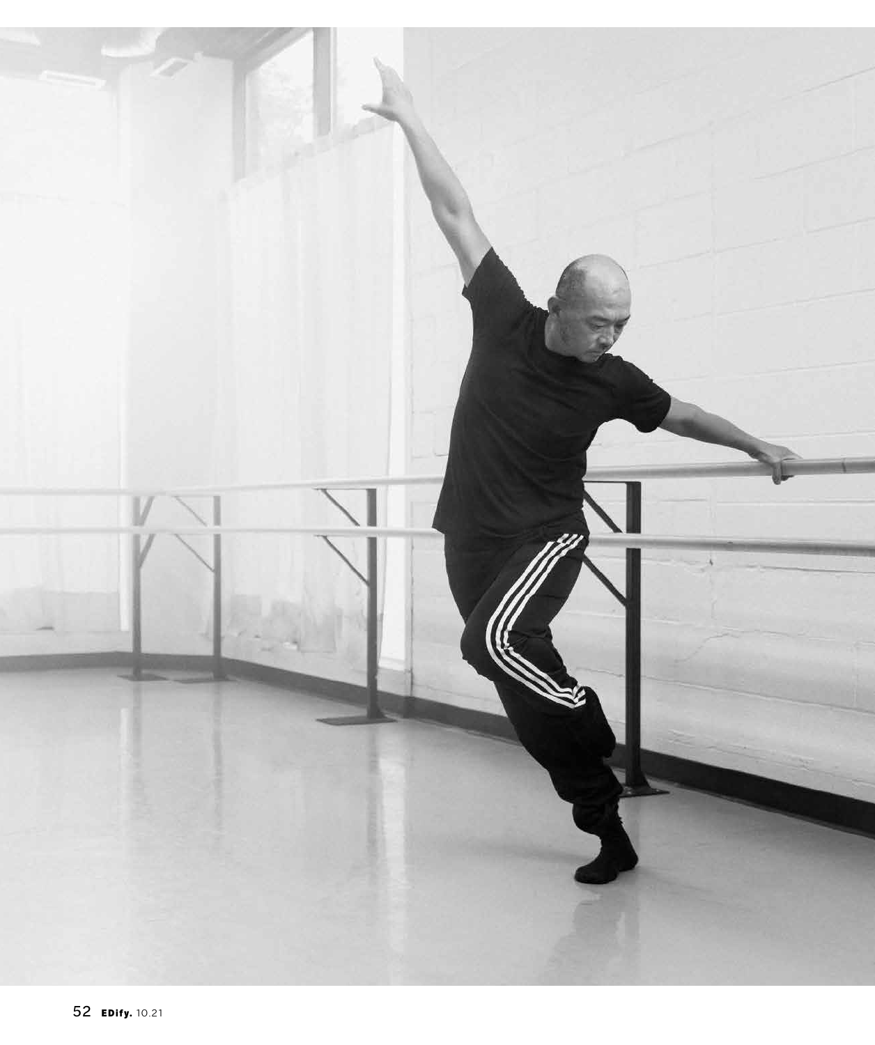